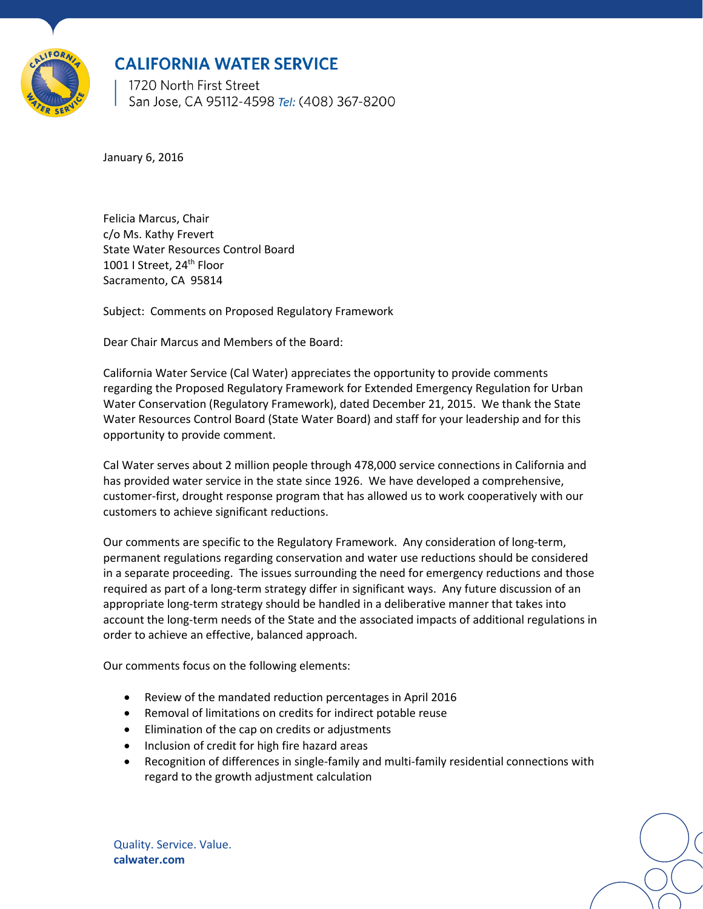

# **CALIFORNIA WATER SERVICE**

1720 North First Street San Jose, CA 95112-4598 Tel: (408) 367-8200

January 6, 2016

Felicia Marcus, Chair c/o Ms. Kathy Frevert State Water Resources Control Board 1001 I Street, 24<sup>th</sup> Floor Sacramento, CA 95814

Subject: Comments on Proposed Regulatory Framework

Dear Chair Marcus and Members of the Board:

California Water Service (Cal Water) appreciates the opportunity to provide comments regarding the Proposed Regulatory Framework for Extended Emergency Regulation for Urban Water Conservation (Regulatory Framework), dated December 21, 2015. We thank the State Water Resources Control Board (State Water Board) and staff for your leadership and for this opportunity to provide comment.

Cal Water serves about 2 million people through 478,000 service connections in California and has provided water service in the state since 1926. We have developed a comprehensive, customer-first, drought response program that has allowed us to work cooperatively with our customers to achieve significant reductions.

Our comments are specific to the Regulatory Framework. Any consideration of long-term, permanent regulations regarding conservation and water use reductions should be considered in a separate proceeding. The issues surrounding the need for emergency reductions and those required as part of a long-term strategy differ in significant ways. Any future discussion of an appropriate long-term strategy should be handled in a deliberative manner that takes into account the long-term needs of the State and the associated impacts of additional regulations in order to achieve an effective, balanced approach.

Our comments focus on the following elements:

- Review of the mandated reduction percentages in April 2016
- Removal of limitations on credits for indirect potable reuse
- Elimination of the cap on credits or adjustments
- Inclusion of credit for high fire hazard areas
- Recognition of differences in single-family and multi-family residential connections with regard to the growth adjustment calculation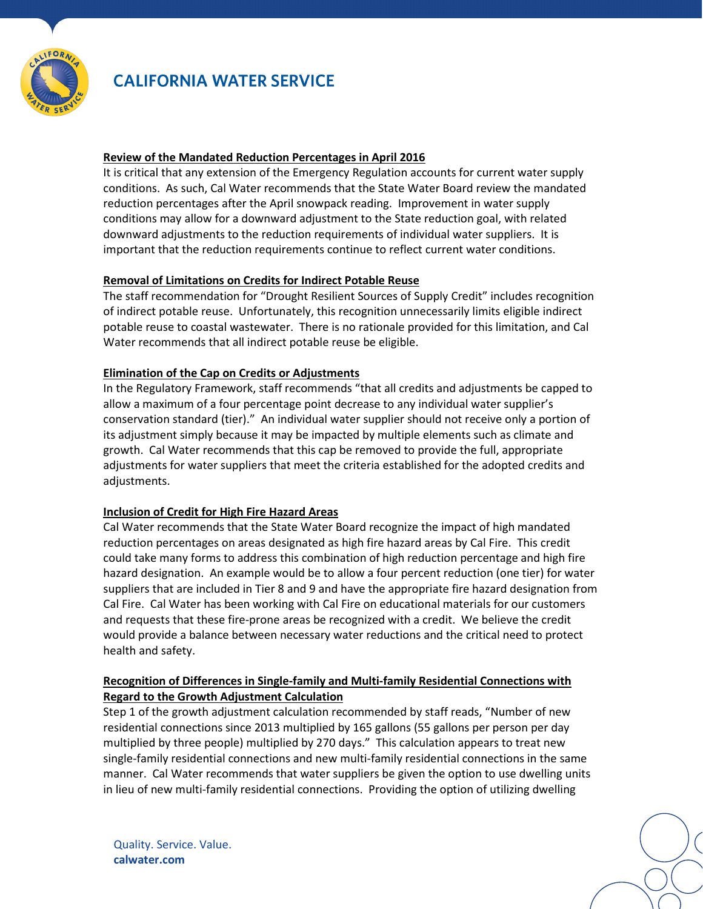

# **CALIFORNIA WATER SERVICE**

#### **Review of the Mandated Reduction Percentages in April 2016**

It is critical that any extension of the Emergency Regulation accounts for current water supply conditions. As such, Cal Water recommends that the State Water Board review the mandated reduction percentages after the April snowpack reading. Improvement in water supply conditions may allow for a downward adjustment to the State reduction goal, with related downward adjustments to the reduction requirements of individual water suppliers. It is important that the reduction requirements continue to reflect current water conditions.

## **Removal of Limitations on Credits for Indirect Potable Reuse**

The staff recommendation for "Drought Resilient Sources of Supply Credit" includes recognition of indirect potable reuse. Unfortunately, this recognition unnecessarily limits eligible indirect potable reuse to coastal wastewater. There is no rationale provided for this limitation, and Cal Water recommends that all indirect potable reuse be eligible.

#### **Elimination of the Cap on Credits or Adjustments**

In the Regulatory Framework, staff recommends "that all credits and adjustments be capped to allow a maximum of a four percentage point decrease to any individual water supplier's conservation standard (tier)." An individual water supplier should not receive only a portion of its adjustment simply because it may be impacted by multiple elements such as climate and growth. Cal Water recommends that this cap be removed to provide the full, appropriate adjustments for water suppliers that meet the criteria established for the adopted credits and adjustments.

## **Inclusion of Credit for High Fire Hazard Areas**

Cal Water recommends that the State Water Board recognize the impact of high mandated reduction percentages on areas designated as high fire hazard areas by Cal Fire. This credit could take many forms to address this combination of high reduction percentage and high fire hazard designation. An example would be to allow a four percent reduction (one tier) for water suppliers that are included in Tier 8 and 9 and have the appropriate fire hazard designation from Cal Fire. Cal Water has been working with Cal Fire on educational materials for our customers and requests that these fire-prone areas be recognized with a credit. We believe the credit would provide a balance between necessary water reductions and the critical need to protect health and safety.

## **Recognition of Differences in Single-family and Multi-family Residential Connections with Regard to the Growth Adjustment Calculation**

Step 1 of the growth adjustment calculation recommended by staff reads, "Number of new residential connections since 2013 multiplied by 165 gallons (55 gallons per person per day multiplied by three people) multiplied by 270 days." This calculation appears to treat new single-family residential connections and new multi-family residential connections in the same manner. Cal Water recommends that water suppliers be given the option to use dwelling units in lieu of new multi-family residential connections. Providing the option of utilizing dwelling

Quality. Service. Value. **calwater.com**